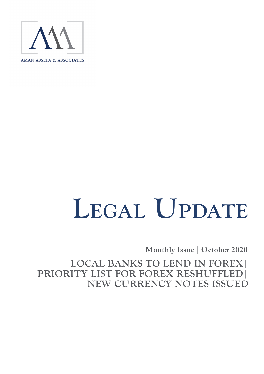

# LEGAL UPDATE

**Monthly Issue | October 2020** 

**LOCAL BANKS TO LEND IN FOREX| PRIORITY LIST FOR FOREX RESHUFFLED| NEW CURRENCY NOTES ISSUED**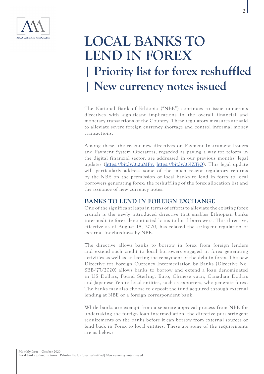

## **LOCAL BANKS TO LEND IN FOREX | Priority list for forex reshuffled | New currency notes issued**

The National Bank of Ethiopia ("NBE") continues to issue numerous directives with significant implications in the overall financial and monetary transactions of the Country. These regulatory measures are said to alleviate severe foreign currency shortage and control informal money transactions.

Among these, the recent new directives on Payment Instrument Issuers and Payment System Operators, regarded as paving a way for reform in the digital financial sector, are addressed in our previous months' legal updates (<https://bit.ly/3i2uMFv;> <https://bit.ly/35JZTjO>). This legal update will particularly address some of the much recent regulatory reforms by the NBE on the permission of local banks to lend in forex to local borrowers generating forex; the reshuffling of the forex allocation list and the issuance of new currency notes.

### **BANKS TO LEND IN FOREIGN EXCHANGE**

One of the significant leaps in terms of efforts to alleviate the existing forex crunch is the newly introduced directive that enables Ethiopian banks intermediate forex denominated loans to local borrowers. This directive, effective as of August 18, 2020, has relaxed the stringent regulation of external indebtedness by NBE.

The directive allows banks to borrow in forex from foreign lenders and extend such credit to local borrowers engaged in forex generating activities as well as collecting the repayment of the debt in forex. The new Directive for Foreign Currency Intermediation by Banks (Directive No. SBB/77/2020) allows banks to borrow and extend a loan denominated in US Dollars, Pound Sterling, Euro, Chinese yuan, Canadian Dollars and Japanese Yen to local entities, such as exporters, who generate forex. The banks may also choose to deposit the fund acquired through external lending at NBE or a foreign correspondent bank.

While banks are exempt from a separate approval process from NBE for undertaking the foreign loan intermediation, the directive puts stringent requirements on the banks before it can borrow from external sources or lend back in Forex to local entities. These are some of the requirements are as below: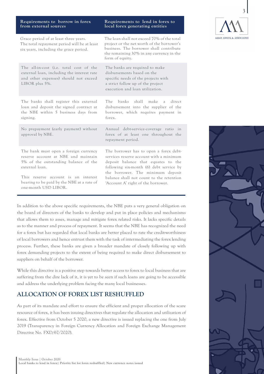| Requirements to borrow in forex<br>from external sources                                                                                                                                                                                            | Requirements to lend in forex to<br>local forex generating entities                                                                                                                                                                                                                        |
|-----------------------------------------------------------------------------------------------------------------------------------------------------------------------------------------------------------------------------------------------------|--------------------------------------------------------------------------------------------------------------------------------------------------------------------------------------------------------------------------------------------------------------------------------------------|
| Grace period of at least three years.<br>The total repayment period will be at least<br>six years, including the grace period.                                                                                                                      | The loan shall not exceed 70% of the total<br>project or the net worth of the borrower's<br>business. The borrower shall contribute<br>the remaining 30% in any currency in the<br>form of equity.                                                                                         |
| The all-in-cost (i.e. total cost of the<br>external loan, including the interest rate<br>and other expenses) should not exceed<br>LIBOR plus 5%.                                                                                                    | The banks are required to make<br>disbursements based on the<br>specific needs of the projects with<br>a strict follow up of the project<br>execution and loan utilization.                                                                                                                |
| The banks shall register this external<br>loan and deposit the signed contract at<br>the NBE within 5 business days from<br>signing.                                                                                                                | The.<br>banks<br>shall<br>make<br>direct<br>a<br>disbursement into the supplier of the<br>borrower, which requires payment in<br>forex.                                                                                                                                                    |
| No prepayment (early payment) without<br>approval by NBE.                                                                                                                                                                                           | Annual debt-service-coverage ratio in<br>forex of at least one throughout the<br>repayment period.                                                                                                                                                                                         |
| The bank must open a foreign currency<br>reserve account at NBE and maintain<br>5% of the outstanding balance of the<br>external loan.<br>This reserve account is an interest<br>bearing to be paid by the NBE at a rate of<br>one-month USD LIBOR. | The borrower has to open a forex debt-<br>services reserve account with a minimum<br>deposit balance that equates to the<br>following six-month (6) debt service by<br>the borrower. The minimum deposit<br>balance shall not count to the retention<br>'Account A' right of the borrower. |

In addition to the above specific requirements, the NBE puts a very general obligation on the board of directors of the banks to develop and put in place policies and mechanisms that allows them to asses, manage and mitigate forex related risks. It lacks specific details as to the manner and process of repayment. It seems that the NBE has recognized the need for a forex but has regarded that local banks are better placed to rate the credit-worthiness of local borrowers and hence entrust them with the task of intermediating the forex lending process. Further, these banks are given a broader mandate of closely following up with forex demanding projects to the extent of being required to make direct disbursement to suppliers on behalf of the borrower.

While this directive is a positive step towards better access to forex to local business that are suffering from the dire lack of it, it is yet to be seen if such loans are going to be accessible and address the underlying problem facing the many local businesses.

### **ALLOCATION OF FOREX LIST RESHUFFLED**

As part of its mandate and effort to ensure the efficient and proper allocation of the scare resource of forex, it has been issuing directives that regulate the allocation and utilization of forex. Effective from October 5 2020, a new directive is issued replacing the one from July 2019 (Transparency in Foreign Currency Allocation and Foreign Exchange Management Directive No. FXD/67/2020).



3

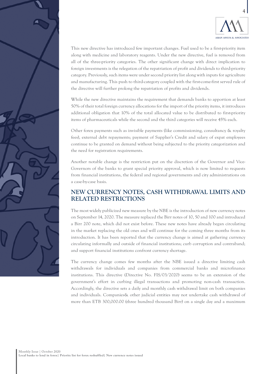

This new directive has introduced few important changes. Fuel used to be a first-priority item along with medicine and laboratory reagents. Under the new directive, fuel is removed from all of the three-priority categories. The other significant change with direct implication to foreign investments is the relegation of the repatriation of profit and dividends to third-priority category. Previously, such items were under second priority list along with inputs for agriculture and manufacturing. This push to third-category coupled with the first-come-first served rule of the directive will further prolong the repatriation of profits and dividends.

While the new directive maintains the requirement that demands banks to apportion at least 50% of their total foreign currency allocations for the import of the priority items, it introduces additional obligation that 10% of the total allocated value to be distributed to first-priority items of pharmaceuticals while the second and the third categories will receive 45% each.

Other forex payments such as invisible payments (like commissioning, consultancy & royalty fees), external debt repayments; payment of Supplier's Credit and salary of expat employees continue to be granted on demand without being subjected to the priority categorization and the need for registration requirements.

Another notable change is the restriction put on the discretion of the Governor and Vice-Governors of the banks to grant special priority approval, which is now limited to requests from financial institutions, the federal and regional governments and city administrations on a case-by-case basis.

### **NEW CURRENCY NOTES, CASH WITHDRAWAL LIMITS AND RELATED RESTRICTIONS**

The most widely publicized new measure by the NBE is the introduction of new currency notes on September 14, 2020. The measure replaced the Birr notes of 10, 50 and 100 and introduced a Birr 200 note, which did not exist before. These new notes have already began circulating in the market replacing the old ones and will continue for the coming three months from its introduction. It has been reported that the currency change is aimed at gathering currency circulating informally and outside of financial institutions; curb corruption and contraband; and support financial institutions confront currency shortage.

The currency change comes few months after the NBE issued a directive limiting cash withdrawals for individuals and companies from commercial banks and microfinance institutions. This directive (Directive No. FIS/03/2020) seems to be an extension of the government's effort in curbing illegal transactions and promoting non-cash transaction. Accordingly, the directive sets a daily and monthly cash withdrawal limit on both companies and individuals. Companies& other judicial entities may not undertake cash withdrawal of more than ETB 300,000.00 (three hundred thousand Birr) on a single day and a maximum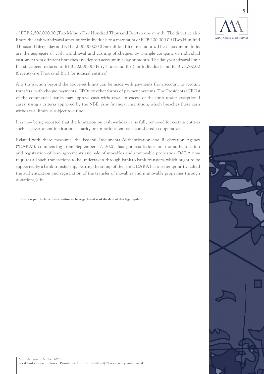

of ETB 2,500,000.00 (Two Million Five Hundred Thousand Birr) in one month. The directive also limits the cash withdrawal amount for individuals to a maximum of ETB 200,000.00 (Two Hundred Thousand Birr) a day and ETB 1,000,000.00 (One-million Birr) in a month. These maximum limits are the aggregate of cash withdrawal and cashing of cheques by a single company or individual customer from different branches and deposit account in a day or month. The daily withdrawal limit has since been reduced to ETB 50,000.00 (Fifty Thousand Birr) for individuals and ETB 75,000.00 (Seventy-five Thousand Birr) for judicial entities.1

Any transaction beyond the above-set limits can be made with payments from account to account transfers, with cheque payments, CPOs or other forms of payment systems. The Presidents (CEOs) of the commercial banks may approve cash withdrawal in excess of the limit under exceptional cases, using a criteria approved by the NBE. Any financial institution, which breaches these cash withdrawal limits is subject to a fine.

It is now being reported that the limitation on cash withdrawal is fully removed for certain entities such as government institutions, charity organizations, embassies and credit cooperatives.

Related with these measures, the Federal Documents Authentication and Registration Agency ("DARA"), commencing from September 17, 2020, has put restrictions on the authentication and registration of loan agreements and sale of movables and immovable properties. DARA now requires all such transactions to be undertaken through bank-to-bank transfers, which ought to be supported by a bank transfer slip, bearing the stamp of the bank. DARA has also temporarily halted the authentication and registration of the transfer of movables and immovable properties through donations/gifts.

 $^{\rm 1}$  This is as per the latest information we have gathered as of the date of this legal update.